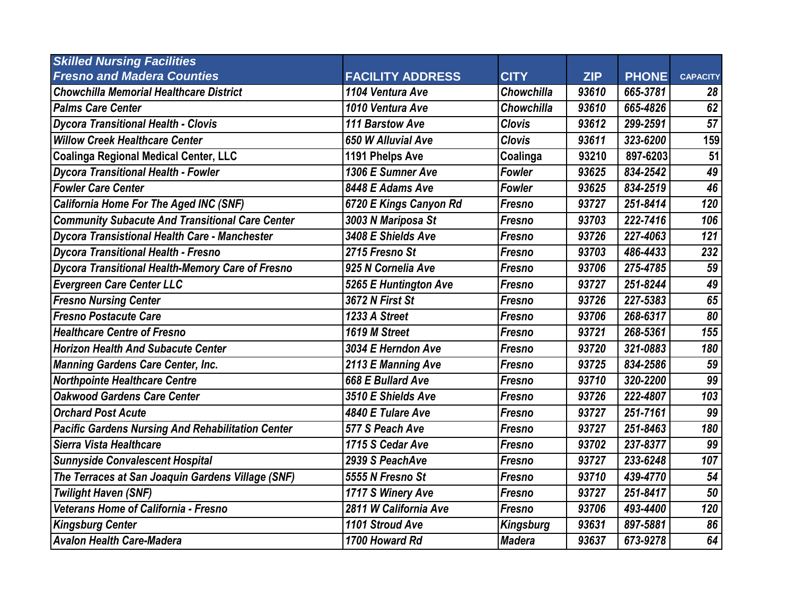| <b>Skilled Nursing Facilities</b>                        |                         |                   |            |              |                 |
|----------------------------------------------------------|-------------------------|-------------------|------------|--------------|-----------------|
| <b>Fresno and Madera Counties</b>                        | <b>FACILITY ADDRESS</b> | <b>CITY</b>       | <b>ZIP</b> | <b>PHONE</b> | <b>CAPACITY</b> |
| <b>Chowchilla Memorial Healthcare District</b>           | 1104 Ventura Ave        | Chowchilla        | 93610      | 665-3781     | 28              |
| <b>Palms Care Center</b>                                 | 1010 Ventura Ave        | <b>Chowchilla</b> | 93610      | 665-4826     | 62              |
| <b>Dycora Transitional Health - Clovis</b>               | 111 Barstow Ave         | <b>Clovis</b>     | 93612      | 299-2591     | 57              |
| <b>Willow Creek Healthcare Center</b>                    | 650 W Alluvial Ave      | <b>Clovis</b>     | 93611      | 323-6200     | 159             |
| <b>Coalinga Regional Medical Center, LLC</b>             | 1191 Phelps Ave         | Coalinga          | 93210      | 897-6203     | 51              |
| <b>Dycora Transitional Health - Fowler</b>               | 1306 E Sumner Ave       | <b>Fowler</b>     | 93625      | 834-2542     | 49              |
| <b>Fowler Care Center</b>                                | 8448 E Adams Ave        | <b>Fowler</b>     | 93625      | 834-2519     | 46              |
| <b>California Home For The Aged INC (SNF)</b>            | 6720 E Kings Canyon Rd  | <b>Fresno</b>     | 93727      | 251-8414     | 120             |
| <b>Community Subacute And Transitional Care Center</b>   | 3003 N Mariposa St      | Fresno            | 93703      | 222-7416     | 106             |
| <b>Dycora Transistional Health Care - Manchester</b>     | 3408 E Shields Ave      | Fresno            | 93726      | 227-4063     | 121             |
| <b>Dycora Transitional Health - Fresno</b>               | 2715 Fresno St          | Fresno            | 93703      | 486-4433     | 232             |
| <b>Dycora Transitional Health-Memory Care of Fresno</b>  | 925 N Cornelia Ave      | Fresno            | 93706      | 275-4785     | 59              |
| <b>Evergreen Care Center LLC</b>                         | 5265 E Huntington Ave   | Fresno            | 93727      | 251-8244     | 49              |
| <b>Fresno Nursing Center</b>                             | 3672 N First St         | Fresno            | 93726      | 227-5383     | 65              |
| <b>Fresno Postacute Care</b>                             | 1233 A Street           | Fresno            | 93706      | 268-6317     | 80              |
| <b>Healthcare Centre of Fresno</b>                       | 1619 M Street           | Fresno            | 93721      | 268-5361     | 155             |
| <b>Horizon Health And Subacute Center</b>                | 3034 E Herndon Ave      | Fresno            | 93720      | 321-0883     | 180             |
| <b>Manning Gardens Care Center, Inc.</b>                 | 2113 E Manning Ave      | Fresno            | 93725      | 834-2586     | 59              |
| <b>Northpointe Healthcare Centre</b>                     | 668 E Bullard Ave       | Fresno            | 93710      | 320-2200     | 99              |
| <b>Oakwood Gardens Care Center</b>                       | 3510 E Shields Ave      | Fresno            | 93726      | 222-4807     | 103             |
| <b>Orchard Post Acute</b>                                | 4840 E Tulare Ave       | Fresno            | 93727      | 251-7161     | 99              |
| <b>Pacific Gardens Nursing And Rehabilitation Center</b> | 577 S Peach Ave         | Fresno            | 93727      | 251-8463     | 180             |
| Sierra Vista Healthcare                                  | 1715 S Cedar Ave        | Fresno            | 93702      | 237-8377     | 99              |
| <b>Sunnyside Convalescent Hospital</b>                   | 2939 S PeachAve         | Fresno            | 93727      | 233-6248     | 107             |
| The Terraces at San Joaquin Gardens Village (SNF)        | 5555 N Fresno St        | Fresno            | 93710      | 439-4770     | 54              |
| <b>Twilight Haven (SNF)</b>                              | 1717 S Winery Ave       | Fresno            | 93727      | 251-8417     | 50              |
| Veterans Home of California - Fresno                     | 2811 W California Ave   | <b>Fresno</b>     | 93706      | 493-4400     | 120             |
| <b>Kingsburg Center</b>                                  | 1101 Stroud Ave         | <b>Kingsburg</b>  | 93631      | 897-5881     | 86              |
| <b>Avalon Health Care-Madera</b>                         | 1700 Howard Rd          | <b>Madera</b>     | 93637      | 673-9278     | 64              |